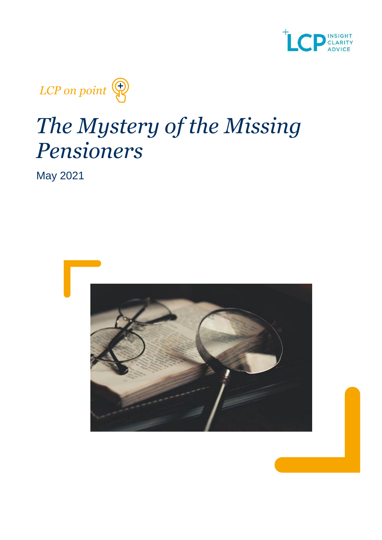



# *The Mystery of the Missing Pensioners*

May 2021

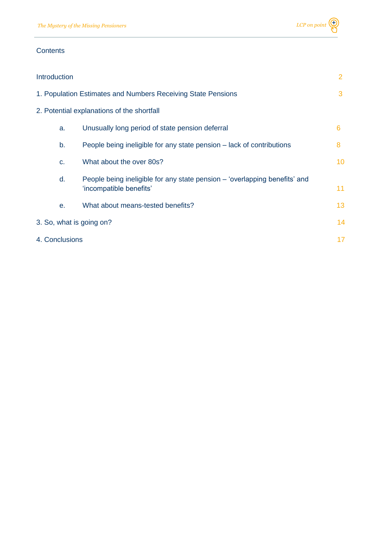

#### **Contents**

| <b>Introduction</b>                                          |    |                                                                                                       | $\overline{2}$  |
|--------------------------------------------------------------|----|-------------------------------------------------------------------------------------------------------|-----------------|
| 1. Population Estimates and Numbers Receiving State Pensions |    | 3                                                                                                     |                 |
|                                                              |    | 2. Potential explanations of the shortfall                                                            |                 |
|                                                              | a. | Unusually long period of state pension deferral                                                       | 6               |
|                                                              | b. | People being ineligible for any state pension – lack of contributions                                 | 8               |
|                                                              | C. | What about the over 80s?                                                                              | 10 <sup>°</sup> |
|                                                              | d. | People being ineligible for any state pension – 'overlapping benefits' and<br>'incompatible benefits' | 11              |
|                                                              | е. | What about means-tested benefits?                                                                     | 13              |
| 3. So, what is going on?                                     |    |                                                                                                       | 14              |
| 4. Conclusions                                               |    |                                                                                                       | 17              |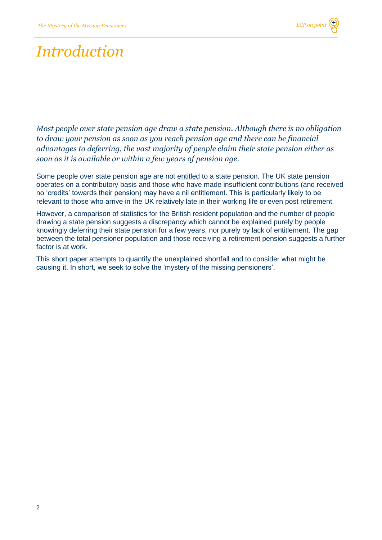### *Introduction*

*Most people over state pension age draw a state pension. Although there is no obligation to draw your pension as soon as you reach pension age and there can be financial advantages to deferring, the vast majority of people claim their state pension either as soon as it is available or within a few years of pension age.*

Some people over state pension age are not entitled to a state pension. The UK state pension operates on a contributory basis and those who have made insufficient contributions (and received no 'credits' towards their pension) may have a nil entitlement. This is particularly likely to be relevant to those who arrive in the UK relatively late in their working life or even post retirement.

However, a comparison of statistics for the British resident population and the number of people drawing a state pension suggests a discrepancy which cannot be explained purely by people knowingly deferring their state pension for a few years, nor purely by lack of entitlement. The gap between the total pensioner population and those receiving a retirement pension suggests a further factor is at work.

This short paper attempts to quantify the unexplained shortfall and to consider what might be causing it. In short, we seek to solve the 'mystery of the missing pensioners'.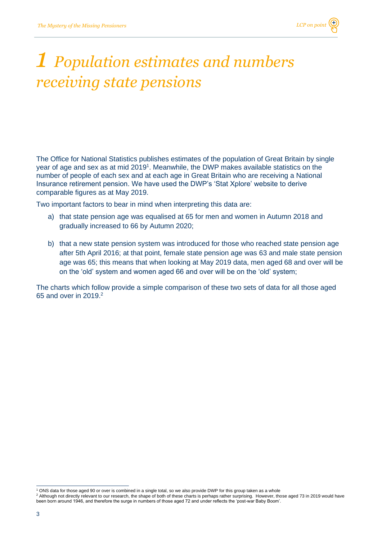### *1 Population estimates and numbers receiving state pensions*

The Office for National Statistics publishes estimates of the population of Great Britain by single year of age and sex as at mid 2019<sup>1</sup>. Meanwhile, the DWP makes available statistics on the number of people of each sex and at each age in Great Britain who are receiving a National Insurance retirement pension. We have used the DWP's 'Stat Xplore' website to derive comparable figures as at May 2019.

Two important factors to bear in mind when interpreting this data are:

- a) that state pension age was equalised at 65 for men and women in Autumn 2018 and gradually increased to 66 by Autumn 2020;
- b) that a new state pension system was introduced for those who reached state pension age after 5th April 2016; at that point, female state pension age was 63 and male state pension age was 65; this means that when looking at May 2019 data, men aged 68 and over will be on the 'old' system and women aged 66 and over will be on the 'old' system;

The charts which follow provide a simple comparison of these two sets of data for all those aged 65 and over in 2019.<sup>2</sup>

<sup>1</sup> ONS data for those aged 90 or over is combined in a single total, so we also provide DWP for this group taken as a whole

<sup>&</sup>lt;sup>2</sup> Although not directly relevant to our research, the shape of both of these charts is perhaps rather surprising. However, those aged 73 in 2019 would have been born around 1946, and therefore the surge in numbers of those aged 72 and under reflects the 'post-war Baby Boom'.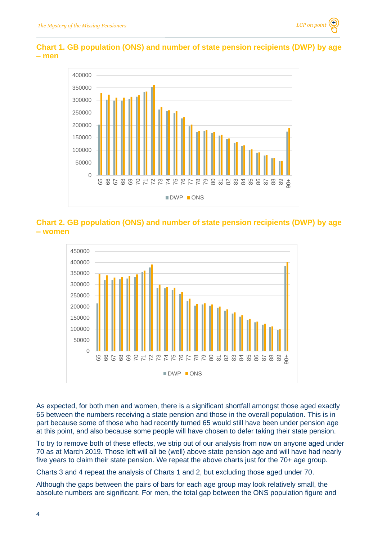

### **Chart 1. GB population (ONS) and number of state pension recipients (DWP) by age – men**



### **Chart 2. GB population (ONS) and number of state pension recipients (DWP) by age – women**



As expected, for both men and women, there is a significant shortfall amongst those aged exactly 65 between the numbers receiving a state pension and those in the overall population. This is in part because some of those who had recently turned 65 would still have been under pension age at this point, and also because some people will have chosen to defer taking their state pension.

To try to remove both of these effects, we strip out of our analysis from now on anyone aged under 70 as at March 2019. Those left will all be (well) above state pension age and will have had nearly five years to claim their state pension. We repeat the above charts just for the 70+ age group.

Charts 3 and 4 repeat the analysis of Charts 1 and 2, but excluding those aged under 70.

Although the gaps between the pairs of bars for each age group may look relatively small, the absolute numbers are significant. For men, the total gap between the ONS population figure and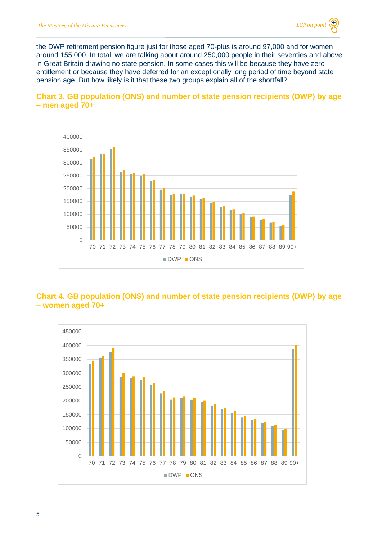the DWP retirement pension figure just for those aged 70-plus is around 97,000 and for women around 155,000. In total, we are talking about around 250,000 people in their seventies and above in Great Britain drawing no state pension. In some cases this will be because they have zero entitlement or because they have deferred for an exceptionally long period of time beyond state pension age. But how likely is it that these two groups explain all of the shortfall?





### **Chart 4. GB population (ONS) and number of state pension recipients (DWP) by age – women aged 70+**

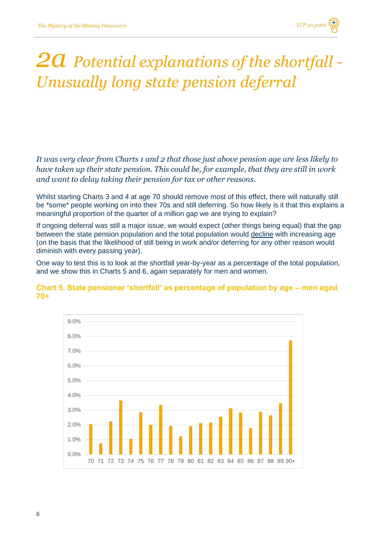

### *2a Potential explanations of the shortfall - Unusually long state pension deferral*

*It was very clear from Charts 1 and 2 that those just above pension age are less likely to have taken up their state pension. This could be, for example, that they are still in work and want to delay taking their pension for tax or other reasons.* 

Whilst starting Charts 3 and 4 at age 70 should remove most of this effect, there will naturally still be \*some\* people working on into their 70s and still deferring. So how likely is it that this explains a meaningful proportion of the quarter of a million gap we are trying to explain?

If ongoing deferral was still a major issue, we would expect (other things being equal) that the gap between the state pension population and the total population would decline with increasing age (on the basis that the likelihood of still being in work and/or deferring for any other reason would diminish with every passing year).

One way to test this is to look at the shortfall year-by-year as a percentage of the total population, and we show this in Charts 5 and 6, again separately for men and women.

### **Chart 5. State pensioner 'shortfall' as percentage of population by age – men aged 70+**

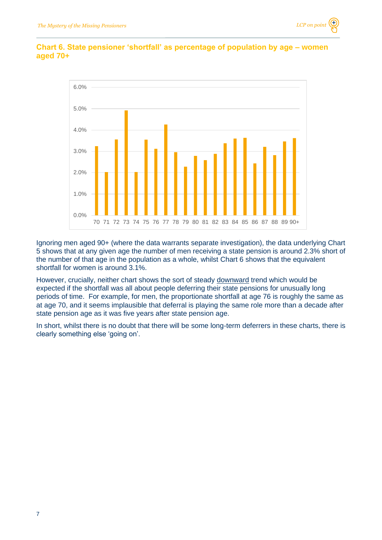

### **Chart 6. State pensioner 'shortfall' as percentage of population by age – women aged 70+**

Ignoring men aged 90+ (where the data warrants separate investigation), the data underlying Chart 5 shows that at any given age the number of men receiving a state pension is around 2.3% short of the number of that age in the population as a whole, whilst Chart 6 shows that the equivalent shortfall for women is around 3.1%.

However, crucially, neither chart shows the sort of steady downward trend which would be expected if the shortfall was all about people deferring their state pensions for unusually long periods of time. For example, for men, the proportionate shortfall at age 76 is roughly the same as at age 70, and it seems implausible that deferral is playing the same role more than a decade after state pension age as it was five years after state pension age.

In short, whilst there is no doubt that there will be some long-term deferrers in these charts, there is clearly something else 'going on'.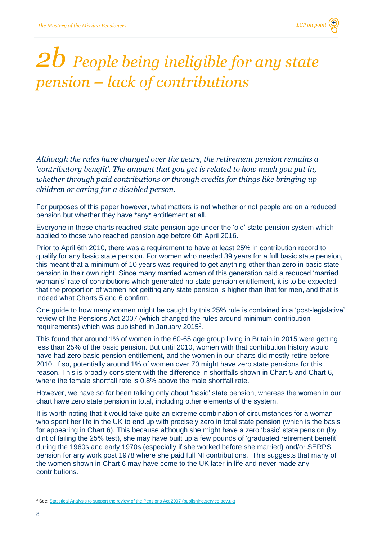## *2b People being ineligible for any state pension – lack of contributions*

*Although the rules have changed over the years, the retirement pension remains a 'contributory benefit'. The amount that you get is related to how much you put in, whether through paid contributions or through credits for things like bringing up children or caring for a disabled person.* 

For purposes of this paper however, what matters is not whether or not people are on a reduced pension but whether they have \*any\* entitlement at all.

Everyone in these charts reached state pension age under the 'old' state pension system which applied to those who reached pension age before 6th April 2016.

Prior to April 6th 2010, there was a requirement to have at least 25% in contribution record to qualify for any basic state pension. For women who needed 39 years for a full basic state pension, this meant that a minimum of 10 years was required to get anything other than zero in basic state pension in their own right. Since many married women of this generation paid a reduced 'married woman's' rate of contributions which generated no state pension entitlement, it is to be expected that the proportion of women not getting any state pension is higher than that for men, and that is indeed what Charts 5 and 6 confirm.

One guide to how many women might be caught by this 25% rule is contained in a 'post-legislative' review of the Pensions Act 2007 (which changed the rules around minimum contribution requirements) which was published in January 2015<sup>3</sup>.

This found that around 1% of women in the 60-65 age group living in Britain in 2015 were getting less than 25% of the basic pension. But until 2010, women with that contribution history would have had zero basic pension entitlement, and the women in our charts did mostly retire before 2010. If so, potentially around 1% of women over 70 might have zero state pensions for this reason. This is broadly consistent with the difference in shortfalls shown in Chart 5 and Chart 6, where the female shortfall rate is 0.8% above the male shortfall rate.

However, we have so far been talking only about 'basic' state pension, whereas the women in our chart have zero state pension in total, including other elements of the system.

It is worth noting that it would take quite an extreme combination of circumstances for a woman who spent her life in the UK to end up with precisely zero in total state pension (which is the basis for appearing in Chart 6). This because although she might have a zero 'basic' state pension (by dint of failing the 25% test), she may have built up a few pounds of 'graduated retirement benefit' during the 1960s and early 1970s (especially if she worked before she married) and/or SERPS pension for any work post 1978 where she paid full NI contributions. This suggests that many of the women shown in Chart 6 may have come to the UK later in life and never made any contributions.

<sup>&</sup>lt;sup>3</sup> See[: Statistical Analysis to support the review of the Pensions Act 2007 \(publishing.service.gov.uk\)](https://assets.publishing.service.gov.uk/government/uploads/system/uploads/attachment_data/file/398701/statistical-analysis-review-pensions-act-2007.pdf)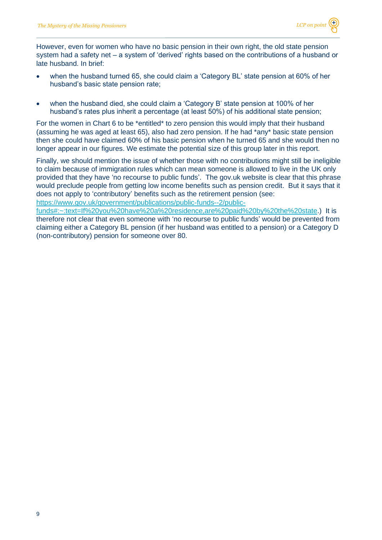However, even for women who have no basic pension in their own right, the old state pension system had a safety net – a system of 'derived' rights based on the contributions of a husband or late husband. In brief:

- when the husband turned 65, she could claim a 'Category BL' state pension at 60% of her husband's basic state pension rate;
- when the husband died, she could claim a 'Category B' state pension at 100% of her husband's rates plus inherit a percentage (at least 50%) of his additional state pension;

For the women in Chart 6 to be \*entitled\* to zero pension this would imply that their husband (assuming he was aged at least 65), also had zero pension. If he had \*any\* basic state pension then she could have claimed 60% of his basic pension when he turned 65 and she would then no longer appear in our figures. We estimate the potential size of this group later in this report.

Finally, we should mention the issue of whether those with no contributions might still be ineligible to claim because of immigration rules which can mean someone is allowed to live in the UK only provided that they have 'no recourse to public funds'. The gov.uk website is clear that this phrase would preclude people from getting low income benefits such as pension credit. But it says that it does not apply to 'contributory' benefits such as the retirement pension (see: [https://www.gov.uk/government/publications/public-funds--2/public-](https://www.gov.uk/government/publications/public-funds--2/public-funds#:~:text=If%20you%20have%20a%20residence,are%20paid%20by%20the%20state)

[funds#:~:text=If%20you%20have%20a%20residence,are%20paid%20by%20the%20state.](https://www.gov.uk/government/publications/public-funds--2/public-funds#:~:text=If%20you%20have%20a%20residence,are%20paid%20by%20the%20state)) It is therefore not clear that even someone with 'no recourse to public funds' would be prevented from claiming either a Category BL pension (if her husband was entitled to a pension) or a Category D (non-contributory) pension for someone over 80.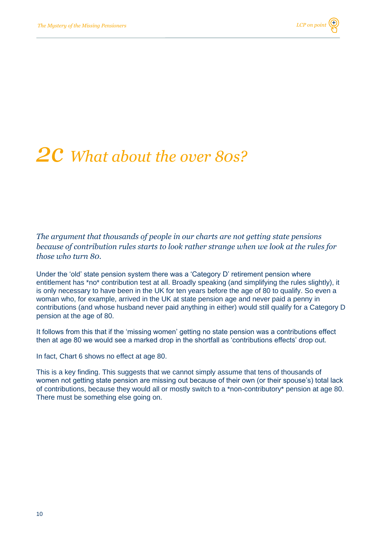### *2c What about the over 80s?*

*The argument that thousands of people in our charts are not getting state pensions because of contribution rules starts to look rather strange when we look at the rules for those who turn 80.*

Under the 'old' state pension system there was a 'Category D' retirement pension where entitlement has \*no\* contribution test at all. Broadly speaking (and simplifying the rules slightly), it is only necessary to have been in the UK for ten years before the age of 80 to qualify. So even a woman who, for example, arrived in the UK at state pension age and never paid a penny in contributions (and whose husband never paid anything in either) would still qualify for a Category D pension at the age of 80.

It follows from this that if the 'missing women' getting no state pension was a contributions effect then at age 80 we would see a marked drop in the shortfall as 'contributions effects' drop out.

In fact, Chart 6 shows no effect at age 80.

This is a key finding. This suggests that we cannot simply assume that tens of thousands of women not getting state pension are missing out because of their own (or their spouse's) total lack of contributions, because they would all or mostly switch to a \*non-contributory\* pension at age 80. There must be something else going on.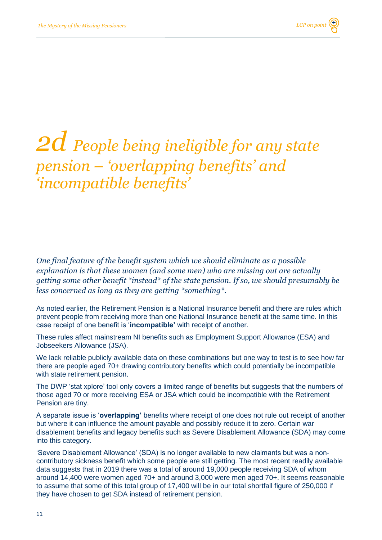### *2d People being ineligible for any state pension – 'overlapping benefits' and 'incompatible benefits'*

*One final feature of the benefit system which we should eliminate as a possible explanation is that these women (and some men) who are missing out are actually getting some other benefit \*instead\* of the state pension. If so, we should presumably be less concerned as long as they are getting \*something\*.*

As noted earlier, the Retirement Pension is a National Insurance benefit and there are rules which prevent people from receiving more than one National Insurance benefit at the same time. In this case receipt of one benefit is '**incompatible'** with receipt of another.

These rules affect mainstream NI benefits such as Employment Support Allowance (ESA) and Jobseekers Allowance (JSA).

We lack reliable publicly available data on these combinations but one way to test is to see how far there are people aged 70+ drawing contributory benefits which could potentially be incompatible with state retirement pension.

The DWP 'stat xplore' tool only covers a limited range of benefits but suggests that the numbers of those aged 70 or more receiving ESA or JSA which could be incompatible with the Retirement Pension are tiny.

A separate issue is '**overlapping'** benefits where receipt of one does not rule out receipt of another but where it can influence the amount payable and possibly reduce it to zero. Certain war disablement benefits and legacy benefits such as Severe Disablement Allowance (SDA) may come into this category.

'Severe Disablement Allowance' (SDA) is no longer available to new claimants but was a noncontributory sickness benefit which some people are still getting. The most recent readily available data suggests that in 2019 there was a total of around 19,000 people receiving SDA of whom around 14,400 were women aged 70+ and around 3,000 were men aged 70+. It seems reasonable to assume that some of this total group of 17,400 will be in our total shortfall figure of 250,000 if they have chosen to get SDA instead of retirement pension.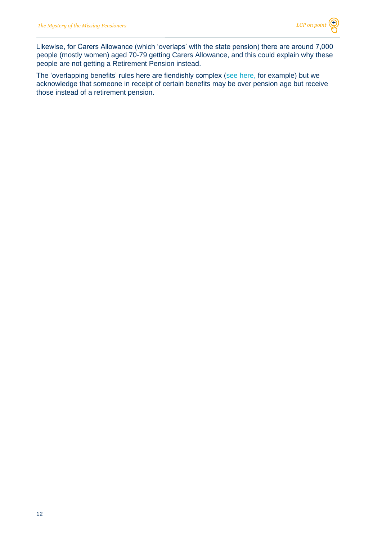Likewise, for Carers Allowance (which 'overlaps' with the state pension) there are around 7,000 people (mostly women) aged 70-79 getting Carers Allowance, and this could explain why these people are not getting a Retirement Pension instead.

The 'overlapping benefits' rules here are fiendishly complex (see [here,](https://assets.publishing.service.gov.uk/government/uploads/system/uploads/attachment_data/file/865517/dmgch17.pdf) for example) but we acknowledge that someone in receipt of certain benefits may be over pension age but receive those instead of a retirement pension.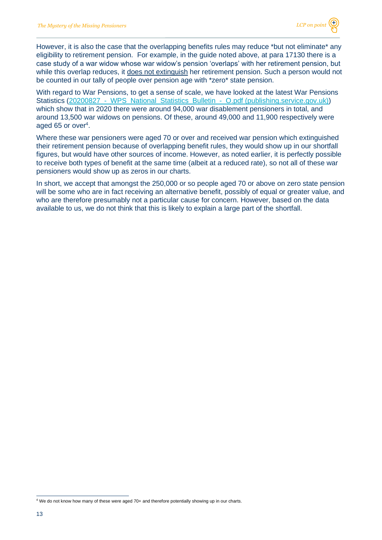However, it is also the case that the overlapping benefits rules may reduce \*but not eliminate\* any eligibility to retirement pension. For example, in the guide noted above, at para 17130 there is a case study of a war widow whose war widow's pension 'overlaps' with her retirement pension, but while this overlap reduces, it does not extinguish her retirement pension. Such a person would not be counted in our tally of people over pension age with \*zero\* state pension.

With regard to War Pensions, to get a sense of scale, we have looked at the latest War Pensions Statistics (20200827 - WPS National Statistics Bulletin - O.pdf (publishing.service.gov.uk)) which show that in 2020 there were around 94,000 war disablement pensioners in total, and around 13,500 war widows on pensions. Of these, around 49,000 and 11,900 respectively were aged 65 or over<sup>4</sup>.

Where these war pensioners were aged 70 or over and received war pension which extinguished their retirement pension because of overlapping benefit rules, they would show up in our shortfall figures, but would have other sources of income. However, as noted earlier, it is perfectly possible to receive both types of benefit at the same time (albeit at a reduced rate), so not all of these war pensioners would show up as zeros in our charts.

In short, we accept that amongst the 250,000 or so people aged 70 or above on zero state pension will be some who are in fact receiving an alternative benefit, possibly of equal or greater value, and who are therefore presumably not a particular cause for concern. However, based on the data available to us, we do not think that this is likely to explain a large part of the shortfall.

<sup>4</sup> We do not know how many of these were aged 70+ and therefore potentially showing up in our charts.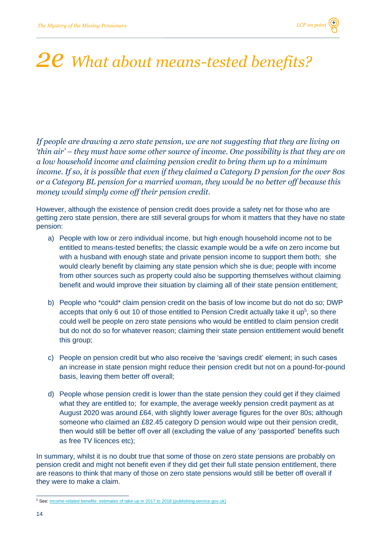## *2e What about means-tested benefits?*

*If people are drawing a zero state pension, we are not suggesting that they are living on 'thin air' – they must have some other source of income. One possibility is that they are on a low household income and claiming pension credit to bring them up to a minimum income. If so, it is possible that even if they claimed a Category D pension for the over 80s or a Category BL pension for a married woman, they would be no better off because this money would simply come off their pension credit.*

However, although the existence of pension credit does provide a safety net for those who are getting zero state pension, there are still several groups for whom it matters that they have no state pension:

- a) People with low or zero individual income, but high enough household income not to be entitled to means-tested benefits; the classic example would be a wife on zero income but with a husband with enough state and private pension income to support them both; she would clearly benefit by claiming any state pension which she is due; people with income from other sources such as property could also be supporting themselves without claiming benefit and would improve their situation by claiming all of their state pension entitlement;
- b) People who \*could\* claim pension credit on the basis of low income but do not do so; DWP accepts that only 6 out 10 of those entitled to Pension Credit actually take it up<sup>5</sup>, so there could well be people on zero state pensions who would be entitled to claim pension credit but do not do so for whatever reason; claiming their state pension entitlement would benefit this group;
- c) People on pension credit but who also receive the 'savings credit' element; in such cases an increase in state pension might reduce their pension credit but not on a pound-for-pound basis, leaving them better off overall;
- d) People whose pension credit is lower than the state pension they could get if they claimed what they are entitled to; for example, the average weekly pension credit payment as at August 2020 was around £64, with slightly lower average figures for the over 80s; although someone who claimed an £82.45 category D pension would wipe out their pension credit, then would still be better off over all (excluding the value of any 'passported' benefits such as free TV licences etc);

In summary, whilst it is no doubt true that some of those on zero state pensions are probably on pension credit and might not benefit even if they did get their full state pension entitlement, there are reasons to think that many of those on zero state pensions would still be better off overall if they were to make a claim.

<sup>&</sup>lt;sup>5</sup> See[: Income-related benefits: estimates of take-up in 2017 to 2018 \(publishing.service.gov.uk\)](https://assets.publishing.service.gov.uk/government/uploads/system/uploads/attachment_data/file/867973/income-related-benefits-estimates-of-take-up-2017-2018.pdf#:~:text=An%20income%20related%20benefit%20is%20a%20benefit%20where,for%20non-take-up%20is%20difficult%20and%20we%20do%20not)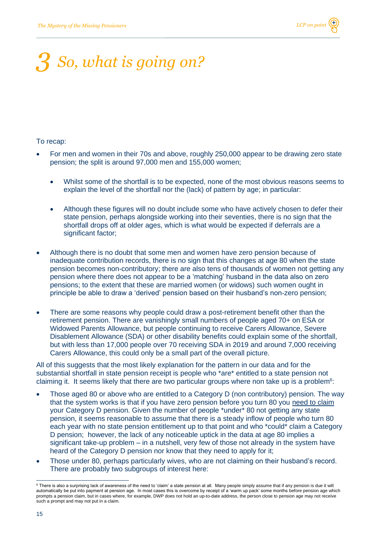## *3 So, what is going on?*

#### To recap:

- For men and women in their 70s and above, roughly 250,000 appear to be drawing zero state pension; the split is around 97,000 men and 155,000 women;
	- Whilst some of the shortfall is to be expected, none of the most obvious reasons seems to explain the level of the shortfall nor the (lack) of pattern by age; in particular:
	- Although these figures will no doubt include some who have actively chosen to defer their state pension, perhaps alongside working into their seventies, there is no sign that the shortfall drops off at older ages, which is what would be expected if deferrals are a significant factor;
- Although there is no doubt that some men and women have zero pension because of inadequate contribution records, there is no sign that this changes at age 80 when the state pension becomes non-contributory; there are also tens of thousands of women not getting any pension where there does not appear to be a 'matching' husband in the data also on zero pensions; to the extent that these are married women (or widows) such women ought in principle be able to draw a 'derived' pension based on their husband's non-zero pension;
- There are some reasons why people could draw a post-retirement benefit other than the retirement pension. There are vanishingly small numbers of people aged 70+ on ESA or Widowed Parents Allowance, but people continuing to receive Carers Allowance, Severe Disablement Allowance (SDA) or other disability benefits could explain some of the shortfall, but with less than 17,000 people over 70 receiving SDA in 2019 and around 7,000 receiving Carers Allowance, this could only be a small part of the overall picture.

All of this suggests that the most likely explanation for the pattern in our data and for the substantial shortfall in state pension receipt is people who \*are\* entitled to a state pension not claiming it. It seems likely that there are two particular groups where non take up is a problem<sup>6</sup>:

- Those aged 80 or above who are entitled to a Category D (non contributory) pension. The way that the system works is that if you have zero pension before you turn 80 you need to claim your Category D pension. Given the number of people \*under\* 80 not getting any state pension, it seems reasonable to assume that there is a steady inflow of people who turn 80 each year with no state pension entitlement up to that point and who \*could\* claim a Category D pension; however, the lack of any noticeable uptick in the data at age 80 implies a significant take-up problem – in a nutshell, very few of those not already in the system have heard of the Category D pension nor know that they need to apply for it;
- Those under 80, perhaps particularly wives, who are not claiming on their husband's record. There are probably two subgroups of interest here:

<sup>&</sup>lt;sup>6</sup> There is also a surprising lack of awareness of the need to 'claim' a state pension at all. Many people simply assume that if any pension is due it will automatically be put into payment at pension age. In most cases this is overcome by receipt of a 'warm up pack' some months before pension age which prompts a pension claim, but in cases where, for example, DWP does not hold an up-to-date address, the person close to pension age may not receive such a prompt and may not put in a claim.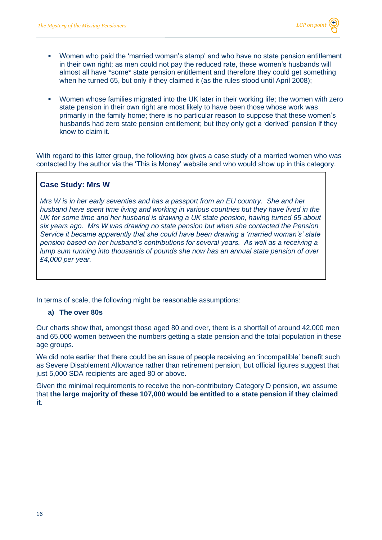- Women who paid the 'married woman's stamp' and who have no state pension entitlement in their own right; as men could not pay the reduced rate, these women's husbands will almost all have \*some\* state pension entitlement and therefore they could get something when he turned 65, but only if they claimed it (as the rules stood until April 2008);
- Women whose families migrated into the UK later in their working life; the women with zero state pension in their own right are most likely to have been those whose work was primarily in the family home; there is no particular reason to suppose that these women's husbands had zero state pension entitlement; but they only get a 'derived' pension if they know to claim it.

With regard to this latter group, the following box gives a case study of a married women who was contacted by the author via the 'This is Money' website and who would show up in this category.

#### **Case Study: Mrs W**

*Mrs W is in her early seventies and has a passport from an EU country. She and her husband have spent time living and working in various countries but they have lived in the UK for some time and her husband is drawing a UK state pension, having turned 65 about six years ago. Mrs W was drawing no state pension but when she contacted the Pension Service it became apparently that she could have been drawing a 'married woman's' state pension based on her husband's contributions for several years. As well as a receiving a lump sum running into thousands of pounds she now has an annual state pension of over £4,000 per year.*

In terms of scale, the following might be reasonable assumptions:

#### **a) The over 80s**

Our charts show that, amongst those aged 80 and over, there is a shortfall of around 42,000 men and 65,000 women between the numbers getting a state pension and the total population in these age groups.

We did note earlier that there could be an issue of people receiving an 'incompatible' benefit such as Severe Disablement Allowance rather than retirement pension, but official figures suggest that just 5,000 SDA recipients are aged 80 or above.

Given the minimal requirements to receive the non-contributory Category D pension, we assume that **the large majority of these 107,000 would be entitled to a state pension if they claimed it**.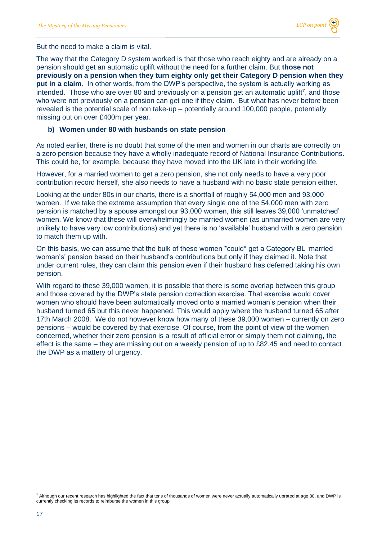But the need to make a claim is vital.

The way that the Category D system worked is that those who reach eighty and are already on a pension should get an automatic uplift without the need for a further claim. But **those not previously on a pension when they turn eighty only get their Category D pension when they put in a claim**. In other words, from the DWP's perspective, the system is actually working as intended. Those who are over 80 and previously on a pension get an automatic uplift<sup>7</sup>, and those who were not previously on a pension can get one if they claim. But what has never before been revealed is the potential scale of non take-up – potentially around 100,000 people, potentially missing out on over £400m per year.

#### **b) Women under 80 with husbands on state pension**

As noted earlier, there is no doubt that some of the men and women in our charts are correctly on a zero pension because they have a wholly inadequate record of National Insurance Contributions. This could be, for example, because they have moved into the UK late in their working life.

However, for a married women to get a zero pension, she not only needs to have a very poor contribution record herself, she also needs to have a husband with no basic state pension either.

Looking at the under 80s in our charts, there is a shortfall of roughly 54,000 men and 93,000 women. If we take the extreme assumption that every single one of the 54,000 men with zero pension is matched by a spouse amongst our 93,000 women, this still leaves 39,000 'unmatched' women. We know that these will overwhelmingly be married women (as unmarried women are very unlikely to have very low contributions) and yet there is no 'available' husband with a zero pension to match them up with.

On this basis, we can assume that the bulk of these women \*could\* get a Category BL 'married woman's' pension based on their husband's contributions but only if they claimed it. Note that under current rules, they can claim this pension even if their husband has deferred taking his own pension.

With regard to these 39,000 women, it is possible that there is some overlap between this group and those covered by the DWP's state pension correction exercise. That exercise would cover women who should have been automatically moved onto a married woman's pension when their husband turned 65 but this never happened. This would apply where the husband turned 65 after 17th March 2008. We do not however know how many of these 39,000 women – currently on zero pensions – would be covered by that exercise. Of course, from the point of view of the women concerned, whether their zero pension is a result of official error or simply them not claiming, the effect is the same – they are missing out on a weekly pension of up to £82.45 and need to contact the DWP as a mattery of urgency.

<sup>7</sup> Although our recent research has highlighted the fact that tens of thousands of women were never actually automatically uprated at age 80, and DWP is currently checking its records to reimburse the women in this group.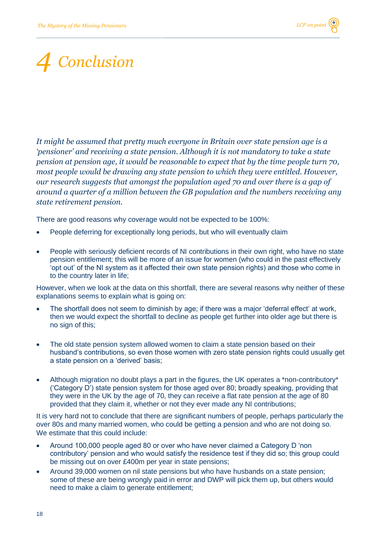## *4 Conclusion*

*It might be assumed that pretty much everyone in Britain over state pension age is a 'pensioner' and receiving a state pension. Although it is not mandatory to take a state pension at pension age, it would be reasonable to expect that by the time people turn 70, most people would be drawing any state pension to which they were entitled. However, our research suggests that amongst the population aged 70 and over there is a gap of around a quarter of a million between the GB population and the numbers receiving any state retirement pension.*

There are good reasons why coverage would not be expected to be 100%:

- People deferring for exceptionally long periods, but who will eventually claim
- People with seriously deficient records of NI contributions in their own right, who have no state pension entitlement; this will be more of an issue for women (who could in the past effectively 'opt out' of the NI system as it affected their own state pension rights) and those who come in to the country later in life;

However, when we look at the data on this shortfall, there are several reasons why neither of these explanations seems to explain what is going on:

- The shortfall does not seem to diminish by age; if there was a major 'deferral effect' at work, then we would expect the shortfall to decline as people get further into older age but there is no sign of this;
- The old state pension system allowed women to claim a state pension based on their husband's contributions, so even those women with zero state pension rights could usually get a state pension on a 'derived' basis;
- Although migration no doubt plays a part in the figures, the UK operates a \*non-contributory\* ('Category D') state pension system for those aged over 80; broadly speaking, providing that they were in the UK by the age of 70, they can receive a flat rate pension at the age of 80 provided that they claim it, whether or not they ever made any NI contributions;

It is very hard not to conclude that there are significant numbers of people, perhaps particularly the over 80s and many married women, who could be getting a pension and who are not doing so. We estimate that this could include:

- Around 100,000 people aged 80 or over who have never claimed a Category D 'non contributory' pension and who would satisfy the residence test if they did so; this group could be missing out on over £400m per year in state pensions;
- Around 39,000 women on nil state pensions but who have husbands on a state pension; some of these are being wrongly paid in error and DWP will pick them up, but others would need to make a claim to generate entitlement;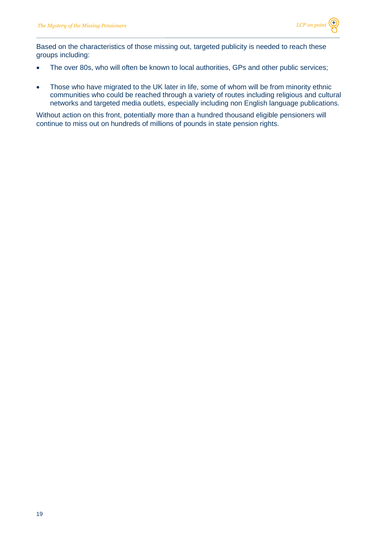Based on the characteristics of those missing out, targeted publicity is needed to reach these groups including:

- The over 80s, who will often be known to local authorities, GPs and other public services;
- Those who have migrated to the UK later in life, some of whom will be from minority ethnic communities who could be reached through a variety of routes including religious and cultural networks and targeted media outlets, especially including non English language publications.

Without action on this front, potentially more than a hundred thousand eligible pensioners will continue to miss out on hundreds of millions of pounds in state pension rights.